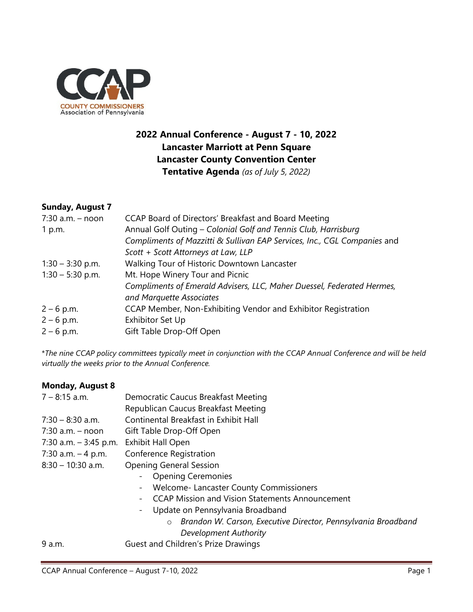

## **2022 Annual Conference - August 7 - 10, 2022 Lancaster Marriott at Penn Square Lancaster County Convention Center Tentative Agenda** *(as of July 5, 2022)*

#### **Sunday, August 7**

| $7:30$ a.m. - noon | CCAP Board of Directors' Breakfast and Board Meeting                     |
|--------------------|--------------------------------------------------------------------------|
| 1 p.m.             | Annual Golf Outing - Colonial Golf and Tennis Club, Harrisburg           |
|                    | Compliments of Mazzitti & Sullivan EAP Services, Inc., CGL Companies and |
|                    | Scott + Scott Attorneys at Law, LLP                                      |
| $1:30 - 3:30$ p.m. | Walking Tour of Historic Downtown Lancaster                              |
| $1:30 - 5:30$ p.m. | Mt. Hope Winery Tour and Picnic                                          |
|                    | Compliments of Emerald Advisers, LLC, Maher Duessel, Federated Hermes,   |
|                    | and Marquette Associates                                                 |
| $2 - 6$ p.m.       | CCAP Member, Non-Exhibiting Vendor and Exhibitor Registration            |
| $2 - 6$ p.m.       | Exhibitor Set Up                                                         |
| $2 - 6$ p.m.       | Gift Table Drop-Off Open                                                 |

\**The nine CCAP policy committees typically meet in conjunction with the CCAP Annual Conference and will be held virtually the weeks prior to the Annual Conference.*

### **Monday, August 8** 7 – 8:15 a.m. Democratic Caucus Breakfast Meeting Republican Caucus Breakfast Meeting 7:30 – 8:30 a.m. Continental Breakfast in Exhibit Hall 7:30 a.m. – noon Gift Table Drop-Off Open 7:30 a.m. – 3:45 p.m. Exhibit Hall Open 7:30 a.m. – 4 p.m. Conference Registration 8:30 – 10:30 a.m. Opening General Session - Opening Ceremonies - Welcome- Lancaster County Commissioners

- CCAP Mission and Vision Statements Announcement
- Update on Pennsylvania Broadband
	- o *Brandon W. Carson, Executive Director, Pennsylvania Broadband Development Authority*

9 a.m. Guest and Children's Prize Drawings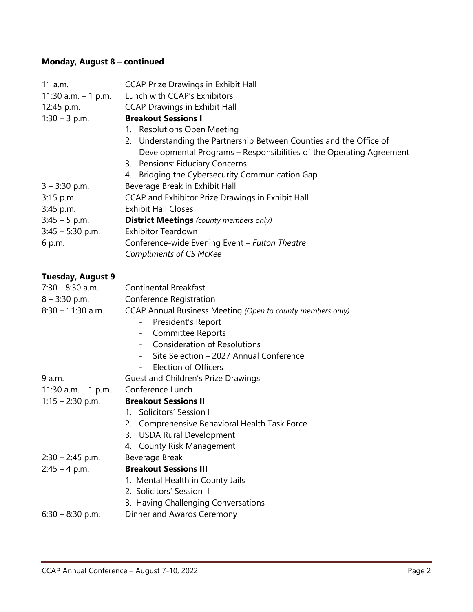# **Monday, August 8 – continued**

| 11 a.m.                              | <b>CCAP Prize Drawings in Exhibit Hall</b>                                                                                                  |
|--------------------------------------|---------------------------------------------------------------------------------------------------------------------------------------------|
| 11:30 a.m. $-1$ p.m.                 | Lunch with CCAP's Exhibitors                                                                                                                |
| 12:45 p.m.                           | <b>CCAP Drawings in Exhibit Hall</b>                                                                                                        |
| $1:30 - 3$ p.m.                      | <b>Breakout Sessions I</b>                                                                                                                  |
|                                      | 1. Resolutions Open Meeting                                                                                                                 |
|                                      | 2. Understanding the Partnership Between Counties and the Office of<br>Developmental Programs - Responsibilities of the Operating Agreement |
|                                      | 3. Pensions: Fiduciary Concerns                                                                                                             |
|                                      | 4. Bridging the Cybersecurity Communication Gap                                                                                             |
| $3 - 3:30$ p.m.                      | Beverage Break in Exhibit Hall                                                                                                              |
| 3:15 p.m.                            | CCAP and Exhibitor Prize Drawings in Exhibit Hall                                                                                           |
| 3:45 p.m.                            | <b>Exhibit Hall Closes</b>                                                                                                                  |
| $3:45 - 5$ p.m.                      | <b>District Meetings</b> (county members only)                                                                                              |
| $3:45 - 5:30$ p.m.                   | <b>Exhibitor Teardown</b>                                                                                                                   |
| 6 p.m.                               | Conference-wide Evening Event - Fulton Theatre                                                                                              |
|                                      | <b>Compliments of CS McKee</b>                                                                                                              |
| <b>Tuesday, August 9</b>             |                                                                                                                                             |
| 7:30 - 8:30 a.m.                     | <b>Continental Breakfast</b>                                                                                                                |
| $8 - 3:30$ p.m.                      | Conference Registration                                                                                                                     |
| $8:30 - 11:30$ a.m.                  | CCAP Annual Business Meeting (Open to county members only)                                                                                  |
|                                      | President's Report<br>$\overline{\phantom{0}}$                                                                                              |
|                                      | <b>Committee Reports</b><br>$\overline{\phantom{a}}$                                                                                        |
|                                      | <b>Consideration of Resolutions</b><br>$\sim$                                                                                               |
|                                      | Site Selection - 2027 Annual Conference                                                                                                     |
|                                      | <b>Election of Officers</b><br>$ \,$                                                                                                        |
| 9 a.m.                               | Guest and Children's Prize Drawings                                                                                                         |
| 11:30 a.m. - 1 p.m. Conference Lunch |                                                                                                                                             |
| $1:15 - 2:30$ p.m.                   | <b>Breakout Sessions II</b>                                                                                                                 |
|                                      | 1. Solicitors' Session I                                                                                                                    |
|                                      | 2. Comprehensive Behavioral Health Task Force                                                                                               |
|                                      | 3. USDA Rural Development                                                                                                                   |
|                                      | 4. County Risk Management                                                                                                                   |
| $2:30 - 2:45$ p.m.                   | Beverage Break                                                                                                                              |
| $2:45 - 4$ p.m.                      | <b>Breakout Sessions III</b>                                                                                                                |
|                                      | 1. Mental Health in County Jails                                                                                                            |
|                                      | 2. Solicitors' Session II                                                                                                                   |
|                                      | 3. Having Challenging Conversations                                                                                                         |
| $6:30 - 8:30$ p.m.                   | Dinner and Awards Ceremony                                                                                                                  |